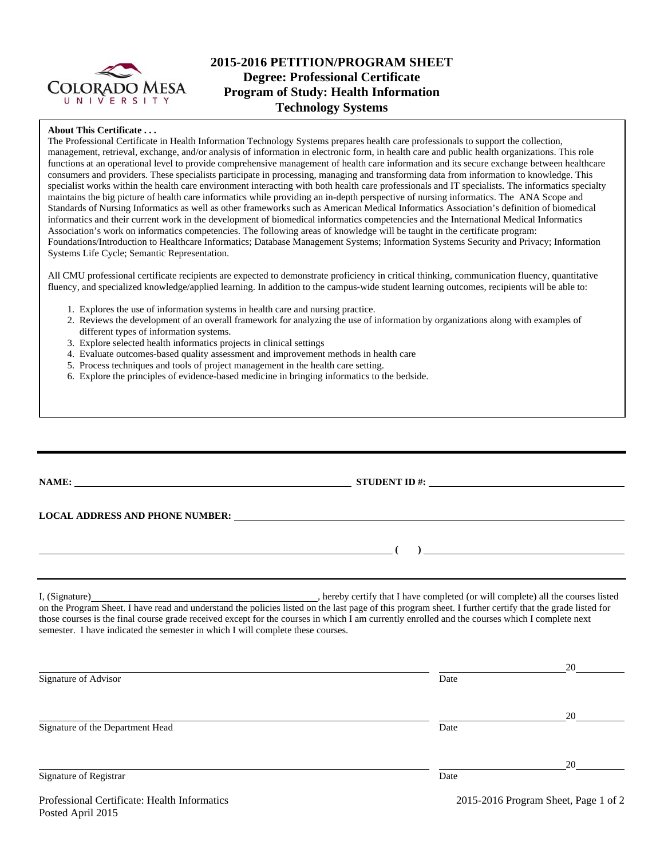

# **2015-2016 PETITION/PROGRAM SHEET Degree: Professional Certificate Program of Study: Health Information Technology Systems**

## **About This Certificate . . .**

The Professional Certificate in Health Information Technology Systems prepares health care professionals to support the collection, management, retrieval, exchange, and/or analysis of information in electronic form, in health care and public health organizations. This role functions at an operational level to provide comprehensive management of health care information and its secure exchange between healthcare consumers and providers. These specialists participate in processing, managing and transforming data from information to knowledge. This specialist works within the health care environment interacting with both health care professionals and IT specialists. The informatics specialty maintains the big picture of health care informatics while providing an in-depth perspective of nursing informatics. The ANA Scope and Standards of Nursing Informatics as well as other frameworks such as American Medical Informatics Association's definition of biomedical informatics and their current work in the development of biomedical informatics competencies and the International Medical Informatics Association's work on informatics competencies. The following areas of knowledge will be taught in the certificate program: Foundations/Introduction to Healthcare Informatics; Database Management Systems; Information Systems Security and Privacy; Information Systems Life Cycle; Semantic Representation.

All CMU professional certificate recipients are expected to demonstrate proficiency in critical thinking, communication fluency, quantitative fluency, and specialized knowledge/applied learning. In addition to the campus-wide student learning outcomes, recipients will be able to:

- 1. Explores the use of information systems in health care and nursing practice.
- 2. Reviews the development of an overall framework for analyzing the use of information by organizations along with examples of different types of information systems.
- 3. Explore selected health informatics projects in clinical settings
- 4. Evaluate outcomes-based quality assessment and improvement methods in health care
- 5. Process techniques and tools of project management in the health care setting.
- 6. Explore the principles of evidence-based medicine in bringing informatics to the bedside.

|                                                                                                                                                                                                                                                                                                                                                                                               | STUDENT ID $\#$ : |
|-----------------------------------------------------------------------------------------------------------------------------------------------------------------------------------------------------------------------------------------------------------------------------------------------------------------------------------------------------------------------------------------------|-------------------|
|                                                                                                                                                                                                                                                                                                                                                                                               |                   |
|                                                                                                                                                                                                                                                                                                                                                                                               |                   |
|                                                                                                                                                                                                                                                                                                                                                                                               |                   |
| on the Program Sheet. I have read and understand the policies listed on the last page of this program sheet. I further certify that the grade listed for<br>those courses is the final course grade received except for the courses in which I am currently enrolled and the courses which I complete next<br>semester. I have indicated the semester in which I will complete these courses. |                   |

|                                  |      | 20 |
|----------------------------------|------|----|
| Signature of Advisor             | Date |    |
|                                  |      |    |
|                                  |      | 20 |
| Signature of the Department Head | Date |    |
|                                  |      |    |
|                                  |      | 20 |
| Signature of Registrar           | Date |    |
|                                  |      |    |